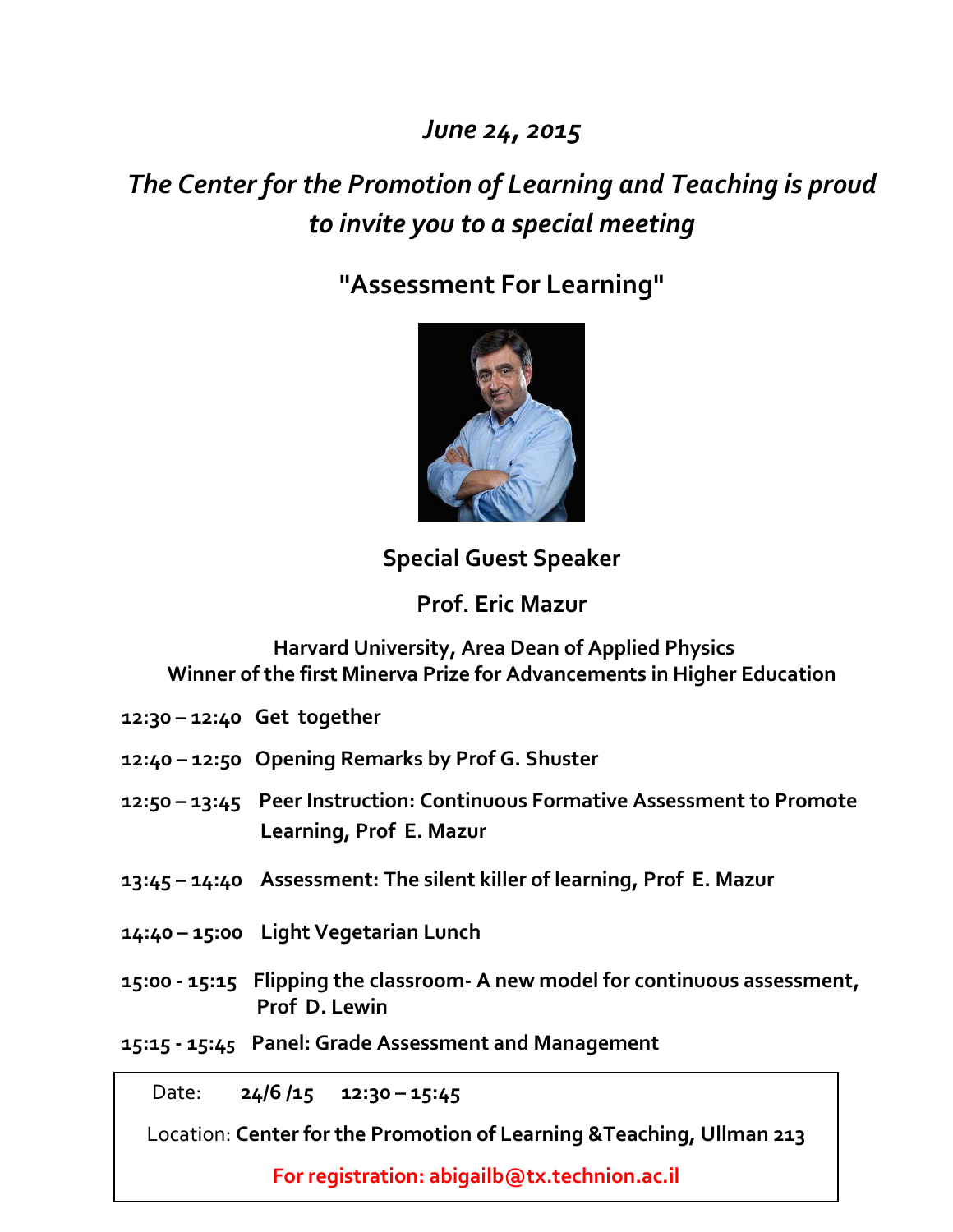*June 24, 2015*

# *The Center for the Promotion of Learning and Teaching is proud to invite you to a special meeting*

# **"Assessment For Learning"**



**Special Guest Speaker**

**Prof. Eric Mazur**

**Harvard University, Area Dean of Applied Physics Winner of the first Minerva Prize for Advancements in Higher Education**

- **12:30 – 12:40 Get together**
- **12:40 – 12:50 Opening Remarks by Prof G. Shuster**
- **12:50 – 13:45 Peer Instruction: Continuous Formative Assessment to Promote Learning, Prof E. Mazur**
- **13:45 – 14:40 Assessment: The silent killer of learning, Prof E. Mazur**
- **14:40 – 15:00 Light Vegetarian Lunch**
- **15:00 - 15:15 Flipping the classroom- A new model for continuous assessment, Prof D. Lewin**
- **15:15 - 15:45 Panel: Grade Assessment and Management**

Date: **24/6 /15 12:30 – 15:45**

Location: **Center for the Promotion of Learning &Teaching, Ullman 213**

**For registration: abigailb@tx.technion.ac.il**